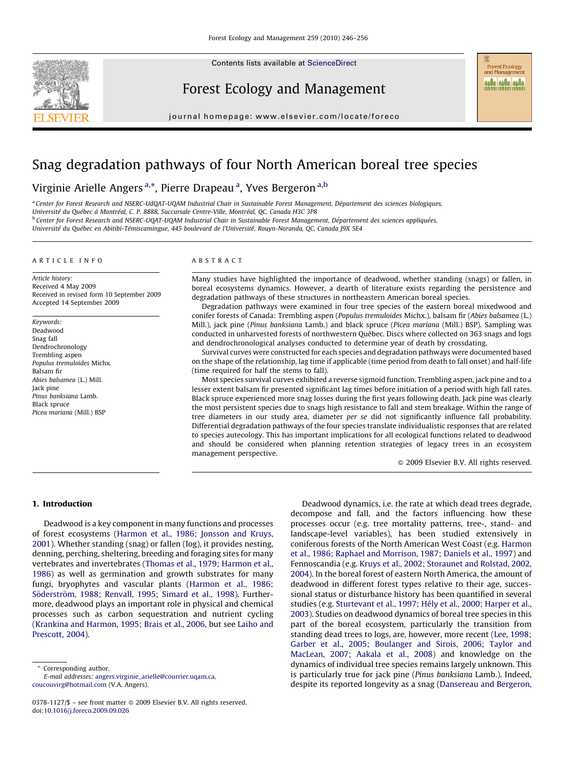**SEVIER** 



Forest Ecology and Management

Forest Ecology and Manage **MÅI MÅI MÅI** 

## journal homepage: www.elsevier.com/locate/foreco

# Snag degradation pathways of four North American boreal tree species

## Virginie Arielle Angers<sup>a,\*</sup>, Pierre Drapeau<sup>a</sup>, Yves Bergeron<sup>a,b</sup>

<sup>a</sup> Center for Forest Research and NSERC-UdOAT-UOAM Industrial Chair in Sustainable Forest Management. Département des sciences biologiques, Université du Québec à Montréal, C. P. 8888, Succursale Centre-Ville, Montréal, QC, Canada H3C 3P8 <sup>b</sup> Center for Forest Research and NSERC-UQAT-UQAM Industrial Chair in Sustainable Forest Management, Département des sciences appliquées, Université du Québec en Abitibi-Témiscamingue, 445 boulevard de l'Université, Rouyn-Noranda, QC, Canada J9X 5E4

#### ARTICLE INFO

Article history: Received 4 May 2009 Received in revised form 10 September 2009 Accepted 14 September 2009

Keywords: Deadwood Snag fall Dendrochronology Trembling aspen Populus tremuloides Michx. Balsam fir Abies balsamea (L.) Mill. Jack pine Pinus banksiana Lamb. Black spruce Picea mariana (Mill.) BSP

#### ABSTRACT

Many studies have highlighted the importance of deadwood, whether standing (snags) or fallen, in boreal ecosystems dynamics. However, a dearth of literature exists regarding the persistence and degradation pathways of these structures in northeastern American boreal species.

Degradation pathways were examined in four tree species of the eastern boreal mixedwood and conifer forests of Canada: Trembling aspen (Populus tremuloides Michx.), balsam fir (Abies balsamea (L.) Mill.), jack pine (Pinus banksiana Lamb.) and black spruce (Picea mariana (Mill.) BSP). Sampling was conducted in unharvested forests of northwestern Québec. Discs where collected on 363 snags and logs and dendrochronological analyses conducted to determine year of death by crossdating.

Survival curves were constructed for each species and degradation pathways were documented based on the shape of the relationship, lag time if applicable (time period from death to fall onset) and half-life (time required for half the stems to fall).

Most species survival curves exhibited a reverse sigmoid function. Trembling aspen, jack pine and to a lesser extent balsam fir presented significant lag times before initiation of a period with high fall rates. Black spruce experienced more snag losses during the first years following death. Jack pine was clearly the most persistent species due to snags high resistance to fall and stem breakage. Within the range of tree diameters in our study area, diameter per se did not significantly influence fall probability. Differential degradation pathways of the four species translate individualistic responses that are related to species autecology. This has important implications for all ecological functions related to deadwood and should be considered when planning retention strategies of legacy trees in an ecosystem management perspective.

 $\odot$  2009 Elsevier B.V. All rights reserved.

## 1. Introduction

Deadwood is a key component in many functions and processes of forest ecosystems ([Harmon et al., 1986; Jonsson and Kruys,](#page-9-0) [2001\)](#page-9-0). Whether standing (snag) or fallen (log), it provides nesting, denning, perching, sheltering, breeding and foraging sites for many vertebrates and invertebrates ([Thomas et al., 1979; Harmon et al.,](#page-10-0) [1986](#page-10-0)) as well as germination and growth substrates for many fungi, bryophytes and vascular plants [\(Harmon et al., 1986;](#page-9-0) Söderström, 1988; Renvall, 1995; Simard et al., 1998). Furthermore, deadwood plays an important role in physical and chemical processes such as carbon sequestration and nutrient cycling ([Krankina and Harmon, 1995; Brais et al., 2006](#page-9-0), but see [Laiho and](#page-9-0) [Prescott, 2004](#page-9-0)).

\* Corresponding author.

Deadwood dynamics, i.e. the rate at which dead trees degrade, decompose and fall, and the factors influencing how these processes occur (e.g. tree mortality patterns, tree-, stand- and landscape-level variables), has been studied extensively in coniferous forests of the North American West Coast (e.g. [Harmon](#page-9-0) [et al., 1986; Raphael and Morrison, 1987; Daniels et al., 1997](#page-9-0)) and Fennoscandia (e.g. [Kruys et al., 2002; Storaunet and Rolstad, 2002,](#page-9-0) [2004\)](#page-9-0). In the boreal forest of eastern North America, the amount of deadwood in different forest types relative to their age, successional status or disturbance history has been quantified in several studies (e.g. Sturtevant et al., 1997; Hély et al., 2000; Harper et al., [2003\)](#page-10-0). Studies on deadwood dynamics of boreal tree species in this part of the boreal ecosystem, particularly the transition from standing dead trees to logs, are, however, more recent ([Lee, 1998;](#page-9-0) [Garber et al., 2005; Boulanger and Sirois, 2006; Taylor and](#page-9-0) [MacLean, 2007; Aakala et al., 2008\)](#page-9-0) and knowledge on the dynamics of individual tree species remains largely unknown. This is particularly true for jack pine (Pinus banksiana Lamb.). Indeed, despite its reported longevity as a snag [\(Dansereau and Bergeron,](#page-9-0)

E-mail addresses: [angers.virginie\\_arielle@courrier.uqam.ca,](mailto:angers.virginie_arielle@courrier.uqam.ca) [coucouvirg@hotmail.com](mailto:coucouvirg@hotmail.com) (V.A. Angers).

<sup>0378-1127/\$ –</sup> see front matter © 2009 Elsevier B.V. All rights reserved. doi:[10.1016/j.foreco.2009.09.026](http://dx.doi.org/10.1016/j.foreco.2009.09.026)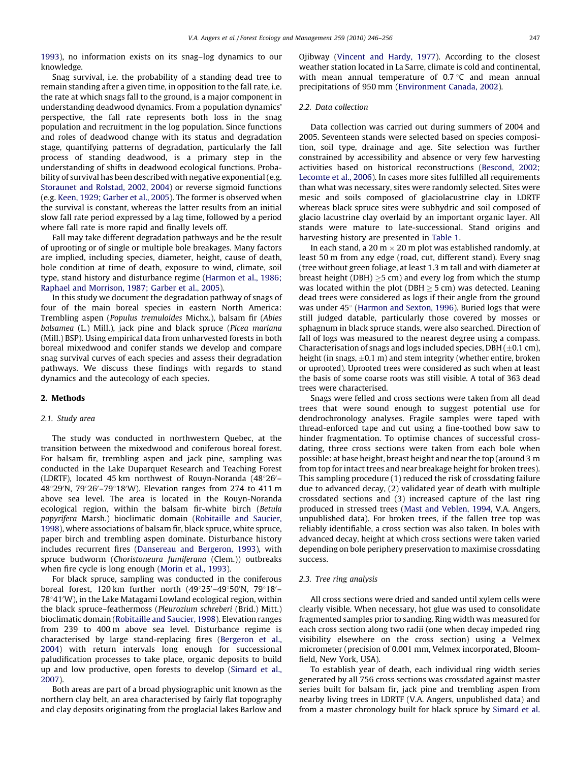<span id="page-1-0"></span>[1993\)](#page-9-0), no information exists on its snag–log dynamics to our knowledge.

Snag survival, i.e. the probability of a standing dead tree to remain standing after a given time, in opposition to the fall rate, i.e. the rate at which snags fall to the ground, is a major component in understanding deadwood dynamics. From a population dynamics' perspective, the fall rate represents both loss in the snag population and recruitment in the log population. Since functions and roles of deadwood change with its status and degradation stage, quantifying patterns of degradation, particularly the fall process of standing deadwood, is a primary step in the understanding of shifts in deadwood ecological functions. Probability of survival has been described with negative exponential (e.g. [Storaunet and Rolstad, 2002, 2004](#page-10-0)) or reverse sigmoid functions (e.g. [Keen, 1929; Garber et al., 2005\)](#page-9-0). The former is observed when the survival is constant, whereas the latter results from an initial slow fall rate period expressed by a lag time, followed by a period where fall rate is more rapid and finally levels off.

Fall may take different degradation pathways and be the result of uprooting or of single or multiple bole breakages. Many factors are implied, including species, diameter, height, cause of death, bole condition at time of death, exposure to wind, climate, soil type, stand history and disturbance regime [\(Harmon et al., 1986;](#page-9-0) [Raphael and Morrison, 1987; Garber et al., 2005\)](#page-9-0).

In this study we document the degradation pathway of snags of four of the main boreal species in eastern North America: Trembling aspen (Populus tremuloides Michx.), balsam fir (Abies balsamea (L.) Mill.), jack pine and black spruce (Picea mariana (Mill.) BSP). Using empirical data from unharvested forests in both boreal mixedwood and conifer stands we develop and compare snag survival curves of each species and assess their degradation pathways. We discuss these findings with regards to stand dynamics and the autecology of each species.

## 2. Methods

## 2.1. Study area

The study was conducted in northwestern Quebec, at the transition between the mixedwood and coniferous boreal forest. For balsam fir, trembling aspen and jack pine, sampling was conducted in the Lake Duparquet Research and Teaching Forest (LDRTF), located 45 km northwest of Rouyn-Noranda  $(48^{\circ}26^{\prime} -$ 48°29'N, 79°26'–79°18'W). Elevation ranges from 274 to 411 m above sea level. The area is located in the Rouyn-Noranda ecological region, within the balsam fir-white birch (Betula papyrifera Marsh.) bioclimatic domain ([Robitaille and Saucier,](#page-10-0) [1998\)](#page-10-0), where associations of balsam fir, black spruce, white spruce, paper birch and trembling aspen dominate. Disturbance history includes recurrent fires [\(Dansereau and Bergeron, 1993\)](#page-9-0), with spruce budworm (Choristoneura fumiferana (Clem.)) outbreaks when fire cycle is long enough [\(Morin et al., 1993](#page-10-0)).

For black spruce, sampling was conducted in the coniferous boreal forest, 120 km further north  $(49°25' - 49°50'N, 79°18' -$ 78°41'W), in the Lake Matagami Lowland ecological region, within the black spruce–feathermoss (Pleurozium schreberi (Brid.) Mitt.) bioclimatic domain [\(Robitaille and Saucier, 1998\)](#page-10-0). Elevation ranges from 239 to 400 m above sea level. Disturbance regime is characterised by large stand-replacing fires ([Bergeron et al.,](#page-9-0) [2004\)](#page-9-0) with return intervals long enough for successional paludification processes to take place, organic deposits to build up and low productive, open forests to develop ([Simard et al.,](#page-10-0) [2007\)](#page-10-0).

Both areas are part of a broad physiographic unit known as the northern clay belt, an area characterised by fairly flat topography and clay deposits originating from the proglacial lakes Barlow and Ojibway [\(Vincent and Hardy, 1977\)](#page-10-0). According to the closest weather station located in La Sarre, climate is cold and continental, with mean annual temperature of  $0.7\degree$ C and mean annual precipitations of 950 mm ([Environment Canada, 2002](#page-9-0)).

#### 2.2. Data collection

Data collection was carried out during summers of 2004 and 2005. Seventeen stands were selected based on species composition, soil type, drainage and age. Site selection was further constrained by accessibility and absence or very few harvesting activities based on historical reconstructions ([Bescond, 2002;](#page-9-0) [Lecomte et al., 2006](#page-9-0)). In cases more sites fulfilled all requirements than what was necessary, sites were randomly selected. Sites were mesic and soils composed of glaciolacustrine clay in LDRTF whereas black spruce sites were subhydric and soil composed of glacio lacustrine clay overlaid by an important organic layer. All stands were mature to late-successional. Stand origins and harvesting history are presented in [Table 1](#page-2-0).

In each stand, a 20 m  $\times$  20 m plot was established randomly, at least 50 m from any edge (road, cut, different stand). Every snag (tree without green foliage, at least 1.3 m tall and with diameter at breast height (DBH)  $\geq$ 5 cm) and every log from which the stump was located within the plot (DBH  $\geq$  5 cm) was detected. Leaning dead trees were considered as logs if their angle from the ground was under  $45^\circ$  ([Harmon and Sexton, 1996\)](#page-9-0). Buried logs that were still judged datable, particularly those covered by mosses or sphagnum in black spruce stands, were also searched. Direction of fall of logs was measured to the nearest degree using a compass. Characterisation of snags and logs included species, DBH  $(\pm 0.1 \text{ cm})$ , height (in snags,  $\pm 0.1$  m) and stem integrity (whether entire, broken or uprooted). Uprooted trees were considered as such when at least the basis of some coarse roots was still visible. A total of 363 dead trees were characterised.

Snags were felled and cross sections were taken from all dead trees that were sound enough to suggest potential use for dendrochronology analyses. Fragile samples were taped with thread-enforced tape and cut using a fine-toothed bow saw to hinder fragmentation. To optimise chances of successful crossdating, three cross sections were taken from each bole when possible: at base height, breast height and near the top (around 3 m from top for intact trees and near breakage height for broken trees). This sampling procedure (1) reduced the risk of crossdating failure due to advanced decay, (2) validated year of death with multiple crossdated sections and (3) increased capture of the last ring produced in stressed trees ([Mast and Veblen, 1994](#page-10-0), V.A. Angers, unpublished data). For broken trees, if the fallen tree top was reliably identifiable, a cross section was also taken. In boles with advanced decay, height at which cross sections were taken varied depending on bole periphery preservation to maximise crossdating success.

## 2.3. Tree ring analysis

All cross sections were dried and sanded until xylem cells were clearly visible. When necessary, hot glue was used to consolidate fragmented samples prior to sanding. Ring width was measured for each cross section along two radii (one when decay impeded ring visibility elsewhere on the cross section) using a Velmex micrometer (precision of 0.001 mm, Velmex incorporated, Bloomfield, New York, USA).

To establish year of death, each individual ring width series generated by all 756 cross sections was crossdated against master series built for balsam fir, jack pine and trembling aspen from nearby living trees in LDRTF (V.A. Angers, unpublished data) and from a master chronology built for black spruce by [Simard et al.](#page-10-0)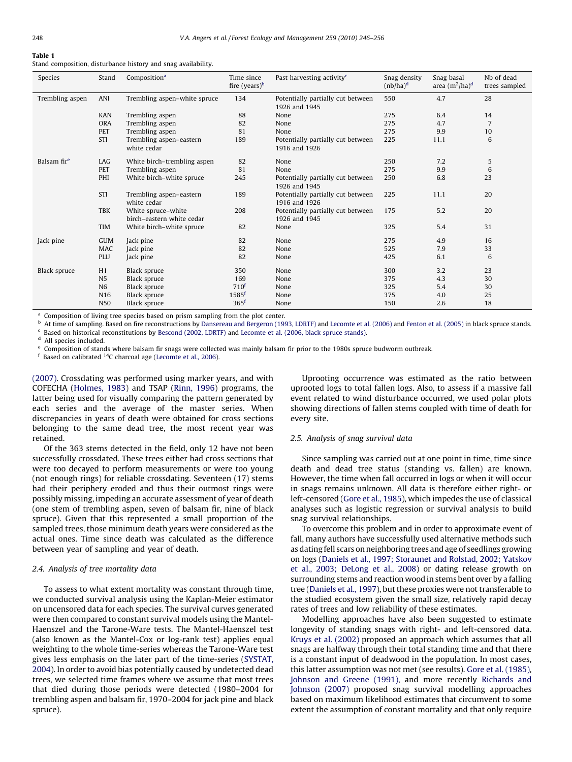## <span id="page-2-0"></span>Table 1

Stand composition, disturbance history and snag availability.

| Species                 | Stand           | Composition <sup>a</sup>                        | Time since<br>fire $(years)^b$ | Past harvesting activity <sup>c</sup>              | Snag density<br>$(nb/ha)^d$ | Snag basal<br>area $(m^2/ha)^d$ | Nb of dead<br>trees sampled |
|-------------------------|-----------------|-------------------------------------------------|--------------------------------|----------------------------------------------------|-----------------------------|---------------------------------|-----------------------------|
| Trembling aspen         | ANI             | Trembling aspen-white spruce                    | 134                            | Potentially partially cut between<br>1926 and 1945 | 550                         | 4.7                             | 28                          |
|                         | <b>KAN</b>      | Trembling aspen                                 | 88                             | None                                               | 275                         | 6.4                             | 14                          |
|                         | <b>ORA</b>      | Trembling aspen                                 | 82                             | None                                               | 275                         | 4.7                             | 7                           |
|                         | PET             | Trembling aspen                                 | 81                             | None                                               | 275                         | 9.9                             | 10                          |
|                         | <b>STI</b>      | Trembling aspen-eastern<br>white cedar          | 189                            | Potentially partially cut between<br>1916 and 1926 | 225                         | 11.1                            | 6                           |
| Balsam fir <sup>e</sup> | LAG             | White birch-trembling aspen                     | 82                             | None                                               | 250                         | 7.2                             | 5                           |
|                         | PET             | Trembling aspen                                 | 81                             | None                                               | 275                         | 9.9                             | 6                           |
|                         | PHI             | White birch-white spruce                        | 245                            | Potentially partially cut between<br>1926 and 1945 | 250                         | 6.8                             | 23                          |
|                         | <b>STI</b>      | Trembling aspen-eastern<br>white cedar          | 189                            | Potentially partially cut between<br>1916 and 1926 | 225                         | 11.1                            | 20                          |
|                         | <b>TBK</b>      | White spruce-white<br>birch-eastern white cedar | 208                            | Potentially partially cut between<br>1926 and 1945 | 175                         | 5.2                             | 20                          |
|                         | <b>TIM</b>      | White birch-white spruce                        | 82                             | None                                               | 325                         | 5.4                             | 31                          |
| Jack pine               | <b>GUM</b>      | Jack pine                                       | 82                             | None                                               | 275                         | 4.9                             | 16                          |
|                         | MAC             | Jack pine                                       | 82                             | None                                               | 525                         | 7.9                             | 33                          |
|                         | <b>PLU</b>      | Jack pine                                       | 82                             | None                                               | 425                         | 6.1                             | 6                           |
| <b>Black spruce</b>     | H1              | Black spruce                                    | 350                            | None                                               | 300                         | 3.2                             | 23                          |
|                         | N <sub>5</sub>  | Black spruce                                    | 169                            | None                                               | 375                         | 4.3                             | 30                          |
|                         | N <sub>6</sub>  | Black spruce                                    | 710 <sup>f</sup>               | None                                               | 325                         | 5.4                             | 30                          |
|                         | N <sub>16</sub> | Black spruce                                    | $1585$ <sup>f</sup>            | None                                               | 375                         | 4.0                             | 25                          |
|                         | N50             | Black spruce                                    | $365$ <sup>f</sup>             | None                                               | 150                         | 2.6                             | 18                          |

<sup>a</sup> Composition of living tree species based on prism sampling from the plot center.

b At time of sampling. Based on fire reconstructions by [Dansereau and Bergeron \(1993, LDRTF\)](#page-9-0) and [Lecomte et al. \(2006\)](#page-9-0) and [Fenton et al. \(2005\)](#page-9-0) in black spruce stands. <sup>c</sup> Based on historical reconstitutions by [Bescond \(2002, LDRTF\)](#page-9-0) and [Lecomte et al. \(2006, black spruce stands\).](#page-9-0)

All species included.

<sup>e</sup> Composition of stands where balsam fir snags were collected was mainly balsam fir prior to the 1980s spruce budworm outbreak.

 $f$  Based on calibrated  $14C$  charcoal age ([Lecomte et al., 2006](#page-9-0)).

[\(2007\).](#page-10-0) Crossdating was performed using marker years, and with COFECHA ([Holmes, 1983\)](#page-9-0) and TSAP [\(Rinn, 1996\)](#page-10-0) programs, the latter being used for visually comparing the pattern generated by each series and the average of the master series. When discrepancies in years of death were obtained for cross sections belonging to the same dead tree, the most recent year was retained.

Of the 363 stems detected in the field, only 12 have not been successfully crossdated. These trees either had cross sections that were too decayed to perform measurements or were too young (not enough rings) for reliable crossdating. Seventeen (17) stems had their periphery eroded and thus their outmost rings were possibly missing, impeding an accurate assessment of year of death (one stem of trembling aspen, seven of balsam fir, nine of black spruce). Given that this represented a small proportion of the sampled trees, those minimum death years were considered as the actual ones. Time since death was calculated as the difference between year of sampling and year of death.

## 2.4. Analysis of tree mortality data

To assess to what extent mortality was constant through time, we conducted survival analysis using the Kaplan-Meier estimator on uncensored data for each species. The survival curves generated were then compared to constant survival models using the Mantel-Haenszel and the Tarone-Ware tests. The Mantel-Haenszel test (also known as the Mantel-Cox or log-rank test) applies equal weighting to the whole time-series whereas the Tarone-Ware test gives less emphasis on the later part of the time-series [\(SYSTAT,](#page-10-0) [2004\)](#page-10-0). In order to avoid bias potentially caused by undetected dead trees, we selected time frames where we assume that most trees that died during those periods were detected (1980–2004 for trembling aspen and balsam fir, 1970–2004 for jack pine and black spruce).

Uprooting occurrence was estimated as the ratio between uprooted logs to total fallen logs. Also, to assess if a massive fall event related to wind disturbance occurred, we used polar plots showing directions of fallen stems coupled with time of death for every site.

#### 2.5. Analysis of snag survival data

Since sampling was carried out at one point in time, time since death and dead tree status (standing vs. fallen) are known. However, the time when fall occurred in logs or when it will occur in snags remains unknown. All data is therefore either right- or left-censored ([Gore et al., 1985](#page-9-0)), which impedes the use of classical analyses such as logistic regression or survival analysis to build snag survival relationships.

To overcome this problem and in order to approximate event of fall, many authors have successfully used alternative methods such as dating fell scars on neighboring trees and age of seedlings growing on logs [\(Daniels et al., 1997; Storaunet and Rolstad, 2002; Yatskov](#page-9-0) [et al., 2003; DeLong et al., 2008\)](#page-9-0) or dating release growth on surrounding stems and reaction wood in stems bent over by a falling tree [\(Daniels et al., 1997](#page-9-0)), but these proxies were not transferable to the studied ecosystem given the small size, relatively rapid decay rates of trees and low reliability of these estimates.

Modelling approaches have also been suggested to estimate longevity of standing snags with right- and left-censored data. [Kruys et al. \(2002\)](#page-9-0) proposed an approach which assumes that all snags are halfway through their total standing time and that there is a constant input of deadwood in the population. In most cases, this latter assumption was not met (see results). [Gore et al. \(1985\),](#page-9-0) [Johnson and Greene \(1991\),](#page-9-0) and more recently [Richards and](#page-10-0) [Johnson \(2007\)](#page-10-0) proposed snag survival modelling approaches based on maximum likelihood estimates that circumvent to some extent the assumption of constant mortality and that only require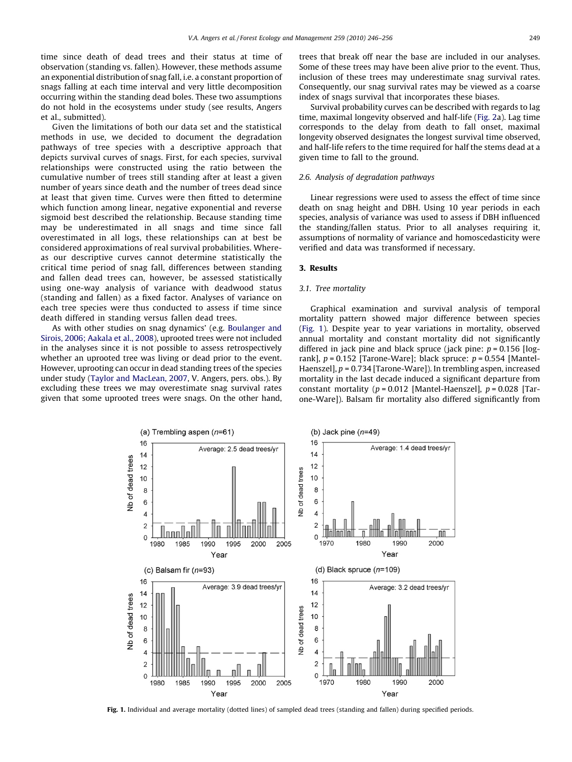<span id="page-3-0"></span>time since death of dead trees and their status at time of observation (standing vs. fallen). However, these methods assume an exponential distribution of snag fall, i.e. a constant proportion of snags falling at each time interval and very little decomposition occurring within the standing dead boles. These two assumptions do not hold in the ecosystems under study (see results, Angers et al., submitted).

Given the limitations of both our data set and the statistical methods in use, we decided to document the degradation pathways of tree species with a descriptive approach that depicts survival curves of snags. First, for each species, survival relationships were constructed using the ratio between the cumulative number of trees still standing after at least a given number of years since death and the number of trees dead since at least that given time. Curves were then fitted to determine which function among linear, negative exponential and reverse sigmoid best described the relationship. Because standing time may be underestimated in all snags and time since fall overestimated in all logs, these relationships can at best be considered approximations of real survival probabilities. Whereas our descriptive curves cannot determine statistically the critical time period of snag fall, differences between standing and fallen dead trees can, however, be assessed statistically using one-way analysis of variance with deadwood status (standing and fallen) as a fixed factor. Analyses of variance on each tree species were thus conducted to assess if time since death differed in standing versus fallen dead trees.

As with other studies on snag dynamics' (e.g. [Boulanger and](#page-9-0) [Sirois, 2006; Aakala et al., 2008](#page-9-0)), uprooted trees were not included in the analyses since it is not possible to assess retrospectively whether an uprooted tree was living or dead prior to the event. However, uprooting can occur in dead standing trees of the species under study ([Taylor and MacLean, 2007](#page-10-0), V. Angers, pers. obs.). By excluding these trees we may overestimate snag survival rates given that some uprooted trees were snags. On the other hand, trees that break off near the base are included in our analyses. Some of these trees may have been alive prior to the event. Thus, inclusion of these trees may underestimate snag survival rates. Consequently, our snag survival rates may be viewed as a coarse index of snags survival that incorporates these biases.

Survival probability curves can be described with regards to lag time, maximal longevity observed and half-life [\(Fig. 2a](#page-4-0)). Lag time corresponds to the delay from death to fall onset, maximal longevity observed designates the longest survival time observed, and half-life refers to the time required for half the stems dead at a given time to fall to the ground.

## 2.6. Analysis of degradation pathways

Linear regressions were used to assess the effect of time since death on snag height and DBH. Using 10 year periods in each species, analysis of variance was used to assess if DBH influenced the standing/fallen status. Prior to all analyses requiring it, assumptions of normality of variance and homoscedasticity were verified and data was transformed if necessary.

## 3. Results

## 3.1. Tree mortality

Graphical examination and survival analysis of temporal mortality pattern showed major difference between species (Fig. 1). Despite year to year variations in mortality, observed annual mortality and constant mortality did not significantly differed in jack pine and black spruce (jack pine:  $p = 0.156$  [logrank],  $p = 0.152$  [Tarone-Ware]; black spruce:  $p = 0.554$  [Mantel-Haenszel],  $p = 0.734$  [Tarone-Ware]). In trembling aspen, increased mortality in the last decade induced a significant departure from constant mortality ( $p = 0.012$  [Mantel-Haenszel],  $p = 0.028$  [Tarone-Ware]). Balsam fir mortality also differed significantly from



Fig. 1. Individual and average mortality (dotted lines) of sampled dead trees (standing and fallen) during specified periods.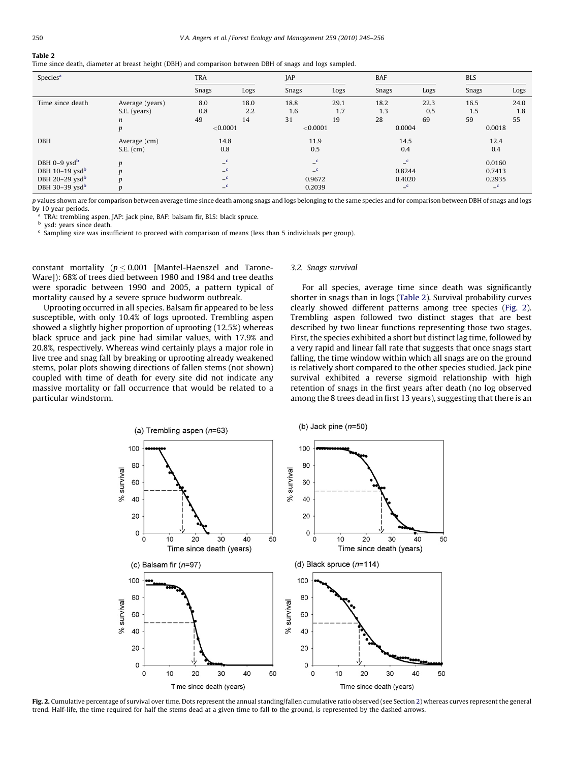# <span id="page-4-0"></span>Table 2

Time since death, diameter at breast height (DBH) and comparison between DBH of snags and logs sampled.

| Species <sup>a</sup>         | <b>TRA</b>       |              | JAP          |       |                                        | <b>BAF</b> |                                  | <b>BLS</b> |                            |  |
|------------------------------|------------------|--------------|--------------|-------|----------------------------------------|------------|----------------------------------|------------|----------------------------|--|
|                              |                  | Snags        | Logs         | Snags | Logs                                   | Snags      | Logs                             | Snags      | Logs                       |  |
| Time since death             | Average (years)  | 8.0          | 18.0         | 18.8  | 29.1                                   | 18.2       | 22.3                             | 16.5       | 24.0                       |  |
|                              | S.E. (years)     | 0.8          | 2.2          | 1.6   | 1.7                                    | 1.3        | 0.5                              | 1.5        | 1.8                        |  |
|                              | $\boldsymbol{n}$ | 49           | 14           | 31    | 19                                     | 28         | 69                               | 59         | 55                         |  |
|                              | p                | < 0.0001     |              |       | < 0.0001                               |            | 0.0004                           |            | 0.0018                     |  |
| <b>DBH</b>                   | Average (cm)     | 14.8<br>0.8  |              |       | 11.9<br>0.5                            |            | 14.5<br>0.4                      |            | 12.4<br>0.4                |  |
|                              | $S.E.$ (cm)      |              |              |       |                                        |            |                                  |            |                            |  |
| DBH $0-9$ ysd <sup>b</sup>   | $\boldsymbol{p}$ | $\mathsf{C}$ |              |       | $\mathbf{C}$<br>$\mathbf{C}$<br>0.9672 |            | $\mathbf{C}$<br>0.8244<br>0.4020 |            | 0.0160<br>0.7413<br>0.2935 |  |
| DBH $10-19$ ysd <sup>b</sup> | p                |              |              |       |                                        |            |                                  |            |                            |  |
| DBH $20-29$ ysd <sup>b</sup> | D                |              | $\mathbf{C}$ |       |                                        |            |                                  |            |                            |  |
| DBH $30-39$ ysd <sup>b</sup> | p                |              |              |       | 0.2039                                 |            | $\mathbf{C}$                     |            | C                          |  |

p values shown are for comparison between average time since death among snags and logs belonging to the same species and for comparison between DBH of snags and logs by 10 year periods.

<sup>a</sup> TRA: trembling aspen, JAP: jack pine, BAF: balsam fir, BLS: black spruce.<br>**b** und unaxe since doath

ysd: years since death.

<sup>c</sup> Sampling size was insufficient to proceed with comparison of means (less than 5 individuals per group).

constant mortality ( $p \leq 0.001$  [Mantel-Haenszel and Tarone-Ware]): 68% of trees died between 1980 and 1984 and tree deaths were sporadic between 1990 and 2005, a pattern typical of mortality caused by a severe spruce budworm outbreak.

Uprooting occurred in all species. Balsam fir appeared to be less susceptible, with only 10.4% of logs uprooted. Trembling aspen showed a slightly higher proportion of uprooting (12.5%) whereas black spruce and jack pine had similar values, with 17.9% and 20.8%, respectively. Whereas wind certainly plays a major role in live tree and snag fall by breaking or uprooting already weakened stems, polar plots showing directions of fallen stems (not shown) coupled with time of death for every site did not indicate any massive mortality or fall occurrence that would be related to a particular windstorm.

#### 3.2. Snags survival

For all species, average time since death was significantly shorter in snags than in logs (Table 2). Survival probability curves clearly showed different patterns among tree species (Fig. 2). Trembling aspen followed two distinct stages that are best described by two linear functions representing those two stages. First, the species exhibited a short but distinct lag time, followed by a very rapid and linear fall rate that suggests that once snags start falling, the time window within which all snags are on the ground is relatively short compared to the other species studied. Jack pine survival exhibited a reverse sigmoid relationship with high retention of snags in the first years after death (no log observed among the 8 trees dead in first 13 years), suggesting that there is an



Fig. [2](#page-1-0). Cumulative percentage of survival over time. Dots represent the annual standing/fallen cumulative ratio observed (see Section 2) whereas curves represent the general trend. Half-life, the time required for half the stems dead at a given time to fall to the ground, is represented by the dashed arrows.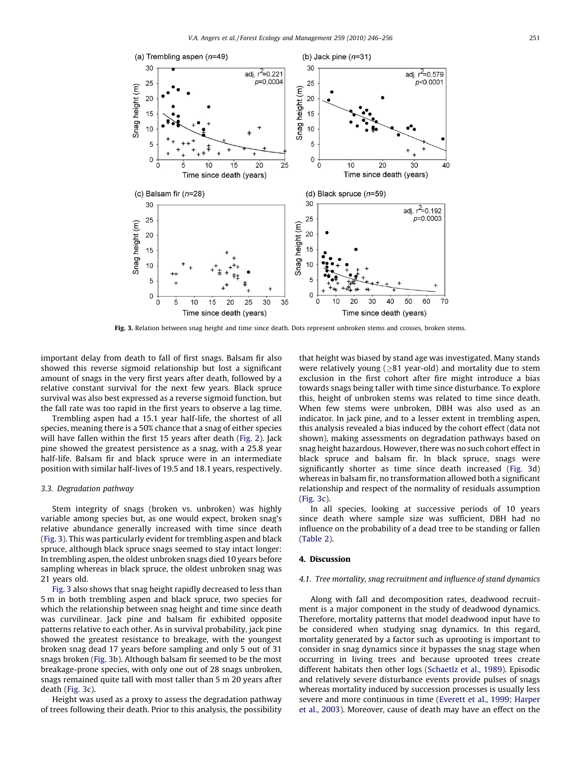<span id="page-5-0"></span>

Fig. 3. Relation between snag height and time since death. Dots represent unbroken stems and crosses, broken stems.

important delay from death to fall of first snags. Balsam fir also showed this reverse sigmoid relationship but lost a significant amount of snags in the very first years after death, followed by a relative constant survival for the next few years. Black spruce survival was also best expressed as a reverse sigmoid function, but the fall rate was too rapid in the first years to observe a lag time.

Trembling aspen had a 15.1 year half-life, the shortest of all species, meaning there is a 50% chance that a snag of either species will have fallen within the first 15 years after death ([Fig. 2](#page-4-0)). Jack pine showed the greatest persistence as a snag, with a 25.8 year half-life. Balsam fir and black spruce were in an intermediate position with similar half-lives of 19.5 and 18.1 years, respectively.

#### 3.3. Degradation pathway

Stem integrity of snags (broken vs. unbroken) was highly variable among species but, as one would expect, broken snag's relative abundance generally increased with time since death (Fig. 3). This was particularly evident for trembling aspen and black spruce, although black spruce snags seemed to stay intact longer: In trembling aspen, the oldest unbroken snags died 10 years before sampling whereas in black spruce, the oldest unbroken snag was 21 years old.

Fig. 3 also shows that snag height rapidly decreased to less than 5 m in both trembling aspen and black spruce, two species for which the relationship between snag height and time since death was curvilinear. Jack pine and balsam fir exhibited opposite patterns relative to each other. As in survival probability, jack pine showed the greatest resistance to breakage, with the youngest broken snag dead 17 years before sampling and only 5 out of 31 snags broken (Fig. 3b). Although balsam fir seemed to be the most breakage-prone species, with only one out of 28 snags unbroken, snags remained quite tall with most taller than 5 m 20 years after death (Fig. 3c).

Height was used as a proxy to assess the degradation pathway of trees following their death. Prior to this analysis, the possibility that height was biased by stand age was investigated. Many stands were relatively young  $(>81$  year-old) and mortality due to stem exclusion in the first cohort after fire might introduce a bias towards snags being taller with time since disturbance. To explore this, height of unbroken stems was related to time since death. When few stems were unbroken, DBH was also used as an indicator. In jack pine, and to a lesser extent in trembling aspen, this analysis revealed a bias induced by the cohort effect (data not shown), making assessments on degradation pathways based on snag height hazardous. However, there was no such cohort effect in black spruce and balsam fir. In black spruce, snags were significantly shorter as time since death increased (Fig. 3d) whereas in balsam fir, no transformation allowed both a significant relationship and respect of the normality of residuals assumption (Fig. 3c).

In all species, looking at successive periods of 10 years since death where sample size was sufficient, DBH had no influence on the probability of a dead tree to be standing or fallen ([Table 2\)](#page-4-0).

## 4. Discussion

#### 4.1. Tree mortality, snag recruitment and influence of stand dynamics

Along with fall and decomposition rates, deadwood recruitment is a major component in the study of deadwood dynamics. Therefore, mortality patterns that model deadwood input have to be considered when studying snag dynamics. In this regard, mortality generated by a factor such as uprooting is important to consider in snag dynamics since it bypasses the snag stage when occurring in living trees and because uprooted trees create different habitats then other logs ([Schaetlz et al., 1989\)](#page-10-0). Episodic and relatively severe disturbance events provide pulses of snags whereas mortality induced by succession processes is usually less severe and more continuous in time [\(Everett et al., 1999; Harper](#page-9-0) [et al., 2003](#page-9-0)). Moreover, cause of death may have an effect on the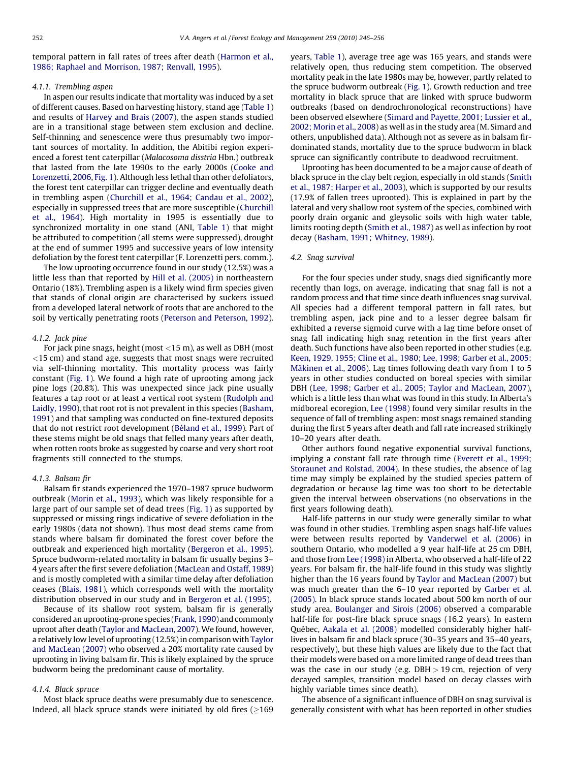temporal pattern in fall rates of trees after death ([Harmon et al.,](#page-9-0) [1986; Raphael and Morrison, 1987; Renvall, 1995\)](#page-9-0).

## 4.1.1. Trembling aspen

In aspen our results indicate that mortality was induced by a set of different causes. Based on harvesting history, stand age ([Table 1\)](#page-2-0) and results of [Harvey and Brais \(2007\),](#page-9-0) the aspen stands studied are in a transitional stage between stem exclusion and decline. Self-thinning and senescence were thus presumably two important sources of mortality. In addition, the Abitibi region experienced a forest tent caterpillar (Malacosoma disstria Hbn.) outbreak that lasted from the late 1990s to the early 2000s [\(Cooke and](#page-9-0) [Lorenzetti, 2006](#page-9-0), [Fig. 1](#page-3-0)). Although less lethal than other defoliators, the forest tent caterpillar can trigger decline and eventually death in trembling aspen ([Churchill et al., 1964; Candau et al., 2002\)](#page-9-0), especially in suppressed trees that are more susceptible ([Churchill](#page-9-0) [et al., 1964\)](#page-9-0). High mortality in 1995 is essentially due to synchronized mortality in one stand (ANI, [Table 1\)](#page-2-0) that might be attributed to competition (all stems were suppressed), drought at the end of summer 1995 and successive years of low intensity defoliation by the forest tent caterpillar (F. Lorenzetti pers. comm.).

The low uprooting occurrence found in our study (12.5%) was a little less than that reported by [Hill et al. \(2005\)](#page-9-0) in northeastern Ontario (18%). Trembling aspen is a likely wind firm species given that stands of clonal origin are characterised by suckers issued from a developed lateral network of roots that are anchored to the soil by vertically penetrating roots ([Peterson and Peterson, 1992\)](#page-10-0).

## 4.1.2. Jack pine

For jack pine snags, height (most <15 m), as well as DBH (most  $<$ 15 cm) and stand age, suggests that most snags were recruited via self-thinning mortality. This mortality process was fairly constant ([Fig. 1\)](#page-3-0). We found a high rate of uprooting among jack pine logs (20.8%). This was unexpected since jack pine usually features a tap root or at least a vertical root system ([Rudolph and](#page-10-0) [Laidly, 1990\)](#page-10-0), that root rot is not prevalent in this species ([Basham,](#page-9-0) [1991](#page-9-0)) and that sampling was conducted on fine-textured deposits that do not restrict root development (Béland et al., 1999). Part of these stems might be old snags that felled many years after death, when rotten roots broke as suggested by coarse and very short root fragments still connected to the stumps.

## 4.1.3. Balsam fir

Balsam fir stands experienced the 1970–1987 spruce budworm outbreak ([Morin et al., 1993\)](#page-10-0), which was likely responsible for a large part of our sample set of dead trees [\(Fig. 1\)](#page-3-0) as supported by suppressed or missing rings indicative of severe defoliation in the early 1980s (data not shown). Thus most dead stems came from stands where balsam fir dominated the forest cover before the outbreak and experienced high mortality [\(Bergeron et al., 1995\)](#page-9-0). Spruce budworm-related mortality in balsam fir usually begins 3– 4 years after the first severe defoliation ([MacLean and Ostaff, 1989\)](#page-9-0) and is mostly completed with a similar time delay after defoliation ceases ([Blais, 1981](#page-9-0)), which corresponds well with the mortality distribution observed in our study and in [Bergeron et al. \(1995\).](#page-9-0)

Because of its shallow root system, balsam fir is generally considered an uprooting-prone species ([Frank, 1990\)](#page-9-0) and commonly uproot after death [\(Taylor and MacLean, 2007](#page-10-0)). We found, however, a relatively low level of uprooting (12.5%) in comparison with [Taylor](#page-10-0) [and MacLean \(2007\)](#page-10-0) who observed a 20% mortality rate caused by uprooting in living balsam fir. This is likely explained by the spruce budworm being the predominant cause of mortality.

## 4.1.4. Black spruce

Most black spruce deaths were presumably due to senescence. Indeed, all black spruce stands were initiated by old fires  $(≥169$  years, [Table 1\)](#page-2-0), average tree age was 165 years, and stands were relatively open, thus reducing stem competition. The observed mortality peak in the late 1980s may be, however, partly related to the spruce budworm outbreak [\(Fig. 1](#page-3-0)). Growth reduction and tree mortality in black spruce that are linked with spruce budworm outbreaks (based on dendrochronological reconstructions) have been observed elsewhere ([Simard and Payette, 2001; Lussier et al.,](#page-10-0) [2002; Morin et al., 2008](#page-10-0)) as well as in the study area (M. Simard and others, unpublished data). Although not as severe as in balsam firdominated stands, mortality due to the spruce budworm in black spruce can significantly contribute to deadwood recruitment.

Uprooting has been documented to be a major cause of death of black spruce in the clay belt region, especially in old stands [\(Smith](#page-10-0) [et al., 1987; Harper et al., 2003](#page-10-0)), which is supported by our results (17.9% of fallen trees uprooted). This is explained in part by the lateral and very shallow root system of the species, combined with poorly drain organic and gleysolic soils with high water table, limits rooting depth [\(Smith et al., 1987\)](#page-10-0) as well as infection by root decay ([Basham, 1991; Whitney, 1989](#page-9-0)).

## 4.2. Snag survival

For the four species under study, snags died significantly more recently than logs, on average, indicating that snag fall is not a random process and that time since death influences snag survival. All species had a different temporal pattern in fall rates, but trembling aspen, jack pine and to a lesser degree balsam fir exhibited a reverse sigmoid curve with a lag time before onset of snag fall indicating high snag retention in the first years after death. Such functions have also been reported in other studies (e.g. [Keen, 1929, 1955; Cline et al., 1980; Lee, 1998; Garber et al., 2005;](#page-9-0) Mäkinen et al., 2006). Lag times following death vary from 1 to 5 years in other studies conducted on boreal species with similar DBH ([Lee, 1998; Garber et al., 2005; Taylor and MacLean, 2007\)](#page-9-0), which is a little less than what was found in this study. In Alberta's midboreal ecoregion, [Lee \(1998\)](#page-9-0) found very similar results in the sequence of fall of trembling aspen: most snags remained standing during the first 5 years after death and fall rate increased strikingly 10–20 years after death.

Other authors found negative exponential survival functions, implying a constant fall rate through time ([Everett et al., 1999;](#page-9-0) [Storaunet and Rolstad, 2004](#page-9-0)). In these studies, the absence of lag time may simply be explained by the studied species pattern of degradation or because lag time was too short to be detectable given the interval between observations (no observations in the first years following death).

Half-life patterns in our study were generally similar to what was found in other studies. Trembling aspen snags half-life values were between results reported by [Vanderwel et al. \(2006\)](#page-10-0) in southern Ontario, who modelled a 9 year half-life at 25 cm DBH, and those from [Lee \(1998\)](#page-9-0) in Alberta, who observed a half-life of 22 years. For balsam fir, the half-life found in this study was slightly higher than the 16 years found by [Taylor and MacLean \(2007\)](#page-10-0) but was much greater than the 6–10 year reported by [Garber et al.](#page-9-0) [\(2005\).](#page-9-0) In black spruce stands located about 500 km north of our study area, [Boulanger and Sirois \(2006\)](#page-9-0) observed a comparable half-life for post-fire black spruce snags (16.2 years). In eastern Québec, [Aakala et al. \(2008\)](#page-9-0) modelled considerably higher halflives in balsam fir and black spruce (30–35 years and 35–40 years, respectively), but these high values are likely due to the fact that their models were based on a more limited range of dead trees than was the case in our study (e.g.  $DBH > 19$  cm, rejection of very decayed samples, transition model based on decay classes with highly variable times since death).

The absence of a significant influence of DBH on snag survival is generally consistent with what has been reported in other studies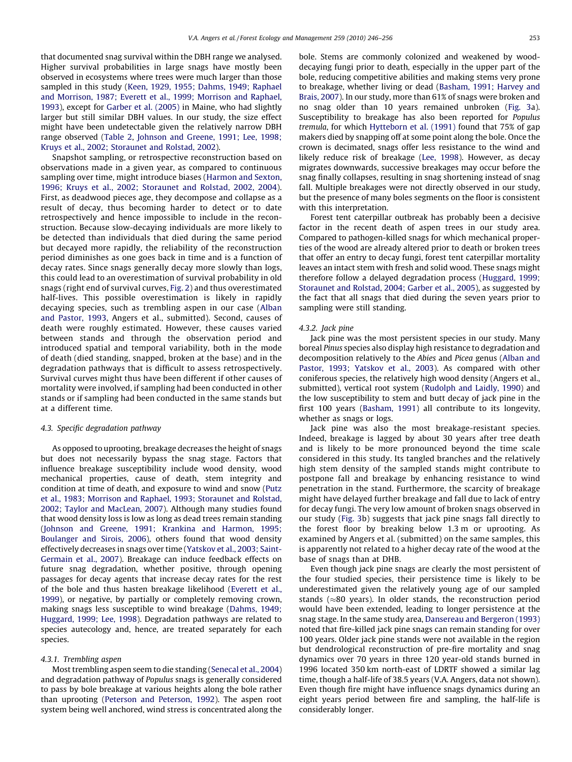that documented snag survival within the DBH range we analysed. Higher survival probabilities in large snags have mostly been observed in ecosystems where trees were much larger than those sampled in this study [\(Keen, 1929, 1955; Dahms, 1949; Raphael](#page-9-0) [and Morrison, 1987; Everett et al., 1999; Morrison and Raphael,](#page-9-0) [1993\)](#page-9-0), except for [Garber et al. \(2005\)](#page-9-0) in Maine, who had slightly larger but still similar DBH values. In our study, the size effect might have been undetectable given the relatively narrow DBH range observed ([Table 2,](#page-4-0) [Johnson and Greene, 1991; Lee, 1998;](#page-9-0) [Kruys et al., 2002; Storaunet and Rolstad, 2002\)](#page-9-0).

Snapshot sampling, or retrospective reconstruction based on observations made in a given year, as compared to continuous sampling over time, might introduce biases ([Harmon and Sexton,](#page-9-0) [1996; Kruys et al., 2002; Storaunet and Rolstad, 2002, 2004](#page-9-0)). First, as deadwood pieces age, they decompose and collapse as a result of decay, thus becoming harder to detect or to date retrospectively and hence impossible to include in the reconstruction. Because slow-decaying individuals are more likely to be detected than individuals that died during the same period but decayed more rapidly, the reliability of the reconstruction period diminishes as one goes back in time and is a function of decay rates. Since snags generally decay more slowly than logs, this could lead to an overestimation of survival probability in old snags (right end of survival curves, [Fig. 2\)](#page-4-0) and thus overestimated half-lives. This possible overestimation is likely in rapidly decaying species, such as trembling aspen in our case ([Alban](#page-9-0) [and Pastor, 1993,](#page-9-0) Angers et al., submitted). Second, causes of death were roughly estimated. However, these causes varied between stands and through the observation period and introduced spatial and temporal variability, both in the mode of death (died standing, snapped, broken at the base) and in the degradation pathways that is difficult to assess retrospectively. Survival curves might thus have been different if other causes of mortality were involved, if sampling had been conducted in other stands or if sampling had been conducted in the same stands but at a different time.

#### 4.3. Specific degradation pathway

As opposed to uprooting, breakage decreases the height of snags but does not necessarily bypass the snag stage. Factors that influence breakage susceptibility include wood density, wood mechanical properties, cause of death, stem integrity and condition at time of death, and exposure to wind and snow ([Putz](#page-10-0) [et al., 1983; Morrison and Raphael, 1993; Storaunet and Rolstad,](#page-10-0) [2002; Taylor and MacLean, 2007\)](#page-10-0). Although many studies found that wood density loss is low as long as dead trees remain standing ([Johnson and Greene, 1991; Krankina and Harmon, 1995;](#page-9-0) [Boulanger and Sirois, 2006](#page-9-0)), others found that wood density effectively decreases in snags over time ([Yatskov et al., 2003; Saint-](#page-10-0)[Germain et al., 2007\)](#page-10-0). Breakage can induce feedback effects on future snag degradation, whether positive, through opening passages for decay agents that increase decay rates for the rest of the bole and thus hasten breakage likelihood ([Everett et al.,](#page-9-0) [1999\)](#page-9-0), or negative, by partially or completely removing crown, making snags less susceptible to wind breakage [\(Dahms, 1949;](#page-9-0) [Huggard, 1999; Lee, 1998\)](#page-9-0). Degradation pathways are related to species autecology and, hence, are treated separately for each species.

## 4.3.1. Trembling aspen

Most trembling aspen seem to die standing [\(Senecal et al., 2004\)](#page-10-0) and degradation pathway of Populus snags is generally considered to pass by bole breakage at various heights along the bole rather than uprooting [\(Peterson and Peterson, 1992\)](#page-10-0). The aspen root system being well anchored, wind stress is concentrated along the bole. Stems are commonly colonized and weakened by wooddecaying fungi prior to death, especially in the upper part of the bole, reducing competitive abilities and making stems very prone to breakage, whether living or dead ([Basham, 1991; Harvey and](#page-9-0) [Brais, 2007](#page-9-0)). In our study, more than 61% of snags were broken and no snag older than 10 years remained unbroken [\(Fig. 3](#page-5-0)a). Susceptibility to breakage has also been reported for Populus tremula, for which [Hytteborn et al. \(1991\)](#page-9-0) found that 75% of gap makers died by snapping off at some point along the bole. Once the crown is decimated, snags offer less resistance to the wind and likely reduce risk of breakage ([Lee, 1998\)](#page-9-0). However, as decay migrates downwards, successive breakages may occur before the snag finally collapses, resulting in snag shortening instead of snag fall. Multiple breakages were not directly observed in our study, but the presence of many boles segments on the floor is consistent with this interpretation.

Forest tent caterpillar outbreak has probably been a decisive factor in the recent death of aspen trees in our study area. Compared to pathogen-killed snags for which mechanical properties of the wood are already altered prior to death or broken trees that offer an entry to decay fungi, forest tent caterpillar mortality leaves an intact stem with fresh and solid wood. These snags might therefore follow a delayed degradation process [\(Huggard, 1999;](#page-9-0) [Storaunet and Rolstad, 2004; Garber et al., 2005](#page-9-0)), as suggested by the fact that all snags that died during the seven years prior to sampling were still standing.

#### 4.3.2. Jack pine

Jack pine was the most persistent species in our study. Many boreal Pinus species also display high resistance to degradation and decomposition relatively to the Abies and Picea genus ([Alban and](#page-9-0) [Pastor, 1993; Yatskov et al., 2003\)](#page-9-0). As compared with other coniferous species, the relatively high wood density (Angers et al., submitted), vertical root system [\(Rudolph and Laidly, 1990](#page-10-0)) and the low susceptibility to stem and butt decay of jack pine in the first 100 years ([Basham, 1991\)](#page-9-0) all contribute to its longevity, whether as snags or logs.

Jack pine was also the most breakage-resistant species. Indeed, breakage is lagged by about 30 years after tree death and is likely to be more pronounced beyond the time scale considered in this study. Its tangled branches and the relatively high stem density of the sampled stands might contribute to postpone fall and breakage by enhancing resistance to wind penetration in the stand. Furthermore, the scarcity of breakage might have delayed further breakage and fall due to lack of entry for decay fungi. The very low amount of broken snags observed in our study ([Fig. 3](#page-5-0)b) suggests that jack pine snags fall directly to the forest floor by breaking below 1.3 m or uprooting. As examined by Angers et al. (submitted) on the same samples, this is apparently not related to a higher decay rate of the wood at the base of snags than at DHB.

Even though jack pine snags are clearly the most persistent of the four studied species, their persistence time is likely to be underestimated given the relatively young age of our sampled stands ( $\approx 80$  years). In older stands, the reconstruction period would have been extended, leading to longer persistence at the snag stage. In the same study area, [Dansereau and Bergeron \(1993\)](#page-9-0) noted that fire-killed jack pine snags can remain standing for over 100 years. Older jack pine stands were not available in the region but dendrological reconstruction of pre-fire mortality and snag dynamics over 70 years in three 120 year-old stands burned in 1996 located 350 km north-east of LDRTF showed a similar lag time, though a half-life of 38.5 years (V.A. Angers, data not shown). Even though fire might have influence snags dynamics during an eight years period between fire and sampling, the half-life is considerably longer.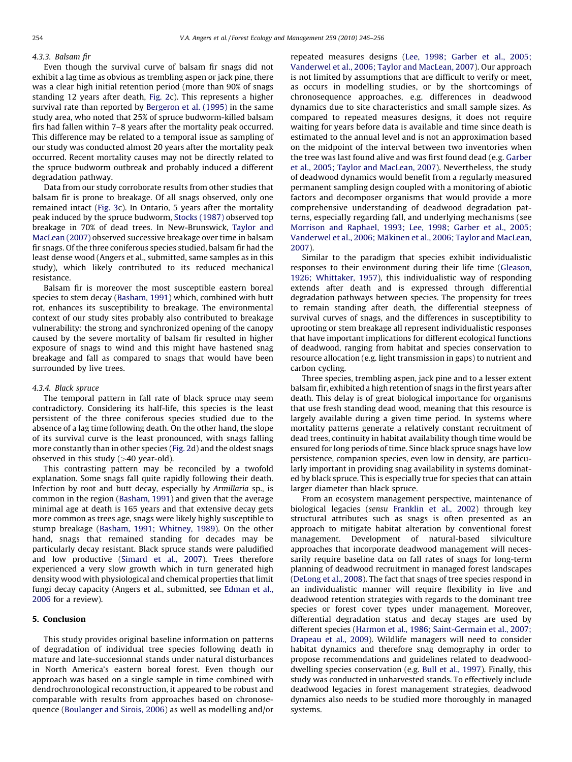## 4.3.3. Balsam fir

Even though the survival curve of balsam fir snags did not exhibit a lag time as obvious as trembling aspen or jack pine, there was a clear high initial retention period (more than 90% of snags standing 12 years after death, [Fig. 2c](#page-4-0)). This represents a higher survival rate than reported by [Bergeron et al. \(1995\)](#page-9-0) in the same study area, who noted that 25% of spruce budworm-killed balsam firs had fallen within 7–8 years after the mortality peak occurred. This difference may be related to a temporal issue as sampling of our study was conducted almost 20 years after the mortality peak occurred. Recent mortality causes may not be directly related to the spruce budworm outbreak and probably induced a different degradation pathway.

Data from our study corroborate results from other studies that balsam fir is prone to breakage. Of all snags observed, only one remained intact ([Fig. 3](#page-5-0)c). In Ontario, 5 years after the mortality peak induced by the spruce budworm, [Stocks \(1987\)](#page-10-0) observed top breakage in 70% of dead trees. In New-Brunswick, [Taylor and](#page-10-0) [MacLean \(2007\)](#page-10-0) observed successive breakage over time in balsam fir snags. Of the three coniferous species studied, balsam fir had the least dense wood (Angers et al., submitted, same samples as in this study), which likely contributed to its reduced mechanical resistance.

Balsam fir is moreover the most susceptible eastern boreal species to stem decay [\(Basham, 1991\)](#page-9-0) which, combined with butt rot, enhances its susceptibility to breakage. The environmental context of our study sites probably also contributed to breakage vulnerability: the strong and synchronized opening of the canopy caused by the severe mortality of balsam fir resulted in higher exposure of snags to wind and this might have hastened snag breakage and fall as compared to snags that would have been surrounded by live trees.

## 4.3.4. Black spruce

The temporal pattern in fall rate of black spruce may seem contradictory. Considering its half-life, this species is the least persistent of the three coniferous species studied due to the absence of a lag time following death. On the other hand, the slope of its survival curve is the least pronounced, with snags falling more constantly than in other species [\(Fig. 2](#page-4-0)d) and the oldest snags observed in this study  $(>40$  year-old).

This contrasting pattern may be reconciled by a twofold explanation. Some snags fall quite rapidly following their death. Infection by root and butt decay, especially by Armillaria sp., is common in the region [\(Basham, 1991\)](#page-9-0) and given that the average minimal age at death is 165 years and that extensive decay gets more common as trees age, snags were likely highly susceptible to stump breakage ([Basham, 1991; Whitney, 1989](#page-9-0)). On the other hand, snags that remained standing for decades may be particularly decay resistant. Black spruce stands were paludified and low productive [\(Simard et al., 2007\)](#page-10-0). Trees therefore experienced a very slow growth which in turn generated high density wood with physiological and chemical properties that limit fungi decay capacity (Angers et al., submitted, see [Edman et al.,](#page-9-0) [2006](#page-9-0) for a review).

## 5. Conclusion

This study provides original baseline information on patterns of degradation of individual tree species following death in mature and late-succesionnal stands under natural disturbances in North America's eastern boreal forest. Even though our approach was based on a single sample in time combined with dendrochronological reconstruction, it appeared to be robust and comparable with results from approaches based on chronosequence [\(Boulanger and Sirois, 2006\)](#page-9-0) as well as modelling and/or repeated measures designs [\(Lee, 1998; Garber et al., 2005;](#page-9-0) [Vanderwel et al., 2006; Taylor and MacLean, 2007](#page-9-0)). Our approach is not limited by assumptions that are difficult to verify or meet, as occurs in modelling studies, or by the shortcomings of chronosequence approaches, e.g. differences in deadwood dynamics due to site characteristics and small sample sizes. As compared to repeated measures designs, it does not require waiting for years before data is available and time since death is estimated to the annual level and is not an approximation based on the midpoint of the interval between two inventories when the tree was last found alive and was first found dead (e.g. [Garber](#page-9-0) [et al., 2005; Taylor and MacLean, 2007](#page-9-0)). Nevertheless, the study of deadwood dynamics would benefit from a regularly measured permanent sampling design coupled with a monitoring of abiotic factors and decomposer organisms that would provide a more comprehensive understanding of deadwood degradation patterns, especially regarding fall, and underlying mechanisms (see [Morrison and Raphael, 1993; Lee, 1998; Garber et al., 2005;](#page-10-0) Vanderwel et al., 2006; Mäkinen et al., 2006; Taylor and MacLean, [2007](#page-10-0)).

Similar to the paradigm that species exhibit individualistic responses to their environment during their life time ([Gleason,](#page-9-0) [1926; Whittaker, 1957](#page-9-0)), this individualistic way of responding extends after death and is expressed through differential degradation pathways between species. The propensity for trees to remain standing after death, the differential steepness of survival curves of snags, and the differences in susceptibility to uprooting or stem breakage all represent individualistic responses that have important implications for different ecological functions of deadwood, ranging from habitat and species conservation to resource allocation (e.g. light transmission in gaps) to nutrient and carbon cycling.

Three species, trembling aspen, jack pine and to a lesser extent balsam fir, exhibited a high retention of snags in the first years after death. This delay is of great biological importance for organisms that use fresh standing dead wood, meaning that this resource is largely available during a given time period. In systems where mortality patterns generate a relatively constant recruitment of dead trees, continuity in habitat availability though time would be ensured for long periods of time. Since black spruce snags have low persistence, companion species, even low in density, are particularly important in providing snag availability in systems dominated by black spruce. This is especially true for species that can attain larger diameter than black spruce.

From an ecosystem management perspective, maintenance of biological legacies (sensu [Franklin et al., 2002](#page-9-0)) through key structural attributes such as snags is often presented as an approach to mitigate habitat alteration by conventional forest management. Development of natural-based silviculture approaches that incorporate deadwood management will necessarily require baseline data on fall rates of snags for long-term planning of deadwood recruitment in managed forest landscapes ([DeLong et al., 2008\)](#page-9-0). The fact that snags of tree species respond in an individualistic manner will require flexibility in live and deadwood retention strategies with regards to the dominant tree species or forest cover types under management. Moreover, differential degradation status and decay stages are used by different species ([Harmon et al., 1986; Saint-Germain et al., 2007;](#page-9-0) [Drapeau et al., 2009\)](#page-9-0). Wildlife managers will need to consider habitat dynamics and therefore snag demography in order to propose recommendations and guidelines related to deadwooddwelling species conservation (e.g. [Bull et al., 1997](#page-9-0)). Finally, this study was conducted in unharvested stands. To effectively include deadwood legacies in forest management strategies, deadwood dynamics also needs to be studied more thoroughly in managed systems.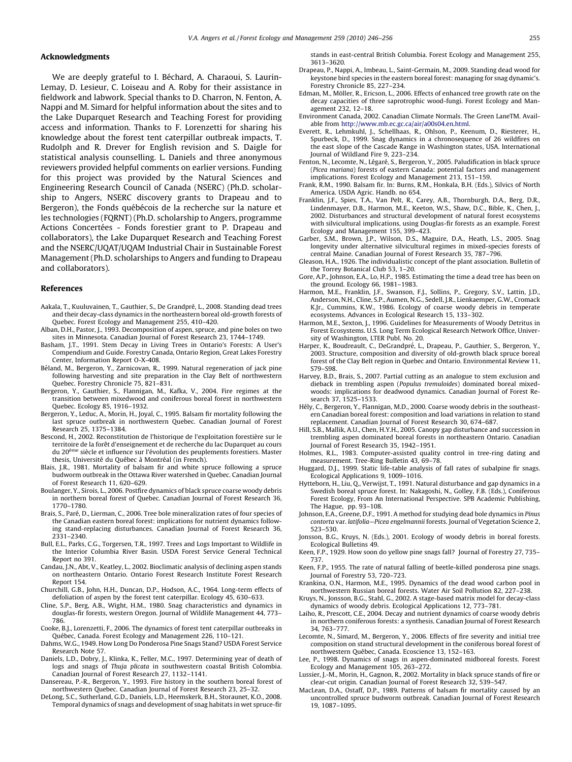#### <span id="page-9-0"></span>Acknowledgments

We are deeply grateful to I. Béchard, A. Charaoui, S. Laurin-Lemay, D. Lesieur, C. Loiseau and A. Roby for their assistance in fieldwork and labwork. Special thanks to D. Charron, N. Fenton, A. Nappi and M. Simard for helpful information about the sites and to the Lake Duparquet Research and Teaching Forest for providing access and information. Thanks to F. Lorenzetti for sharing his knowledge about the forest tent caterpillar outbreak impacts, T. Rudolph and R. Drever for English revision and S. Daigle for statistical analysis counselling. L. Daniels and three anonymous reviewers provided helpful comments on earlier versions. Funding for this project was provided by the Natural Sciences and Engineering Research Council of Canada (NSERC) (Ph.D. scholarship to Angers, NSERC discovery grants to Drapeau and to Bergeron), the Fonds québécois de la recherche sur la nature et les technologies (FQRNT) (Ph.D. scholarship to Angers, programme Actions Concertées - Fonds forestier grant to P. Drapeau and collaborators), the Lake Duparquet Research and Teaching Forest and the NSERC/UQAT/UQAM Industrial Chair in Sustainable Forest Management (Ph.D. scholarships to Angers and funding to Drapeau and collaborators).

#### References

- Aakala, T., Kuuluvainen, T., Gauthier, S., De Grandpré, L., 2008. Standing dead trees and their decay-class dynamics in the northeastern boreal old-growth forests of Quebec. Forest Ecology and Management 255, 410–420.
- Alban, D.H., Pastor, J., 1993. Decomposition of aspen, spruce, and pine boles on two sites in Minnesota. Canadian Journal of Forest Research 23, 1744–1749.
- Basham, J.T., 1991. Stem Decay in Living Trees in Ontario's Forests: A User's Compendium and Guide. Forestry Canada, Ontario Region, Great Lakes Forestry Center, Information Report O-X-408.
- Béland, M., Bergeron, Y., Zarnicovan, R., 1999. Natural regeneration of jack pine following harvesting and site preparation in the Clay Belt of northwestern Quebec. Forestry Chronicle 75, 821–831.
- Bergeron, Y., Gauthier, S., Flannigan, M., Kafka, V., 2004. Fire regimes at the transition between mixedwood and coniferous boreal forest in northwestern Quebec. Ecology 85, 1916–1932.
- Bergeron, Y., Leduc, A., Morin, H., Joyal, C., 1995. Balsam fir mortality following the last spruce outbreak in northwestern Quebec. Canadian Journal of Forest Research 25, 1375–1384.
- Bescond, H., 2002. Reconstitution de l'historique de l'exploitation forestière sur le territoire de la forêt d'enseignement et de recherche du lac Duparquet au cours du 20<sup>ème</sup> siècle et influence sur l'évolution des peuplements forestiers. Master thesis, Université du Québec à Montréal (in French).
- Blais, J.R., 1981. Mortality of balsam fir and white spruce following a spruce budworm outbreak in the Ottawa River watershed in Quebec. Canadian Journal of Forest Research 11, 620–629.
- Boulanger, Y., Sirois, L., 2006. Postfire dynamics of black spruce coarse woody debris in northern boreal forest of Quebec. Canadian Journal of Forest Research 36, 1770–1780.
- Brais, S., Paré, D., Lierman, C., 2006. Tree bole mineralization rates of four species of the Canadian eastern boreal forest: implications for nutrient dynamics following stand-replacing disturbances. Canadian Journal of Forest Research 36, 2331–2340.
- Bull, E.L., Parks, C.G., Torgersen, T.R., 1997. Trees and Logs Important to Wildlife in the Interior Columbia River Basin. USDA Forest Service General Technical Report no 391.
- Candau, J.N., Abt, V., Keatley, L., 2002. Bioclimatic analysis of declining aspen stands on northeastern Ontario. Ontario Forest Research Institute Forest Research Report 154.
- Churchill, G.B., John, H.H., Duncan, D.P., Hodson, A.C., 1964. Long-term effects of defoliation of aspen by the forest tent caterpillar. Ecology 45, 630–633.
- Cline, S.P., Berg, A.B., Wight, H.M., 1980. Snag characteristics and dynamics in douglas-fir forests, western Oregon. Journal of Wildlife Management 44, 773– 786.
- Cooke, B.J., Lorenzetti, F., 2006. The dynamics of forest tent caterpillar outbreaks in Québec, Canada. Forest Ecology and Management 226, 110-121.
- Dahms, W.G., 1949. How Long Do Ponderosa Pine Snags Stand? USDA Forest Service Research Note 57.
- Daniels, L.D., Dobry, J., Klinka, K., Feller, M.C., 1997. Determining year of death of logs and snags of Thuja plicata in southwestern coastal British Colombia. Canadian Journal of Forest Research 27, 1132–1141.
- Dansereau, P.-R., Bergeron, Y., 1993. Fire history in the southern boreal forest of northwestern Quebec. Canadian Journal of Forest Research 23, 25–32.
- DeLong, S.C., Sutherland, G.D., Daniels, L.D., Heemskerk, B.H., Storaunet, K.O., 2008. Temporal dynamics of snags and development of snag habitats in wet spruce-fir

stands in east-central British Columbia. Forest Ecology and Management 255, 3613–3620.

- Drapeau, P., Nappi, A., Imbeau, L., Saint-Germain, M., 2009. Standing dead wood for keystone bird species in the eastern boreal forest: managing for snag dynamic's. Forestry Chronicle 85, 227–234.
- Edman, M., Möller, R., Ericson, L., 2006. Effects of enhanced tree growth rate on the decay capacities of three saprotrophic wood-fungi. Forest Ecology and Management 232, 12–18.
- Environment Canada, 2002. Canadian Climate Normals. The Green LaneTM. Available from [http://www.mb.ec.gc.ca/air/a00s04.en.html.](http://www.mb.ec.gc.ca/air/a00s04.en.html)
- Everett, R., Lehmkuhl, J., Schellhaas, R., Ohlson, P., Keenum, D., Riesterer, H., Spurbeck, D., 1999. Snag dynamics in a chronosequence of 26 wildfires on the east slope of the Cascade Range in Washington states, USA. International Journal of Wildland Fire 9, 223–234.
- Fenton, N., Lecomte, N., Légaré, S., Bergeron, Y., 2005. Paludification in black spruce (Picea mariana) forests of eastern Canada: potential factors and management implications. Forest Ecology and Management 213, 151–159.
- Frank, R.M., 1990. Balsam fir. In: Burns, R.M., Honkala, B.H. (Eds.), Silvics of North America. USDA Agric. Handb. no 654.
- Franklin, J.F., Spies, T.A., Van Pelt, R., Carey, A.B., Thornburgh, D.A., Berg, D.R., Lindenmayer, D.B., Harmon, M.E., Keeton, W.S., Shaw, D.C., Bible, K., Chen, J., 2002. Disturbances and structural development of natural forest ecosystems with silvicultural implications, using Douglas-fir forests as an example. Forest Ecology and Management 155, 399–423.
- Garber, S.M., Brown, J.P., Wilson, D.S., Maguire, D.A., Heath, L.S., 2005. Snag longevity under alternative silvicultural regimes in mixed-species forests of central Maine. Canadian Journal of Forest Research 35, 787–796.
- Gleason, H.A., 1926. The individualistic concept of the plant association. Bulletin of the Torrey Botanical Club 53, 1–20.
- Gore, A.P., Johnson, E.A., Lo, H.P., 1985. Estimating the time a dead tree has been on the ground. Ecology 66, 1981–1983.
- Harmon, M.E., Franklin, J.F., Swanson, F.J., Sollins, P., Gregory, S.V., Lattin, J.D., Anderson, N.H., Cline, S.P., Aumen, N.G., Sedell, J.R., Lienkaemper, G.W., Cromack K.Jr., Cummins, K.W., 1986. Ecology of coarse woody debris in temperate ecosystems. Advances in Ecological Research 15, 133–302.
- Harmon, M.E., Sexton, J., 1996. Guidelines for Measurements of Woody Detritus in Forest Ecosystems. U.S. Long Term Ecological Research Network Office, University of Washington, LTER Publ. No. 20.
- Harper, K., Boudreault, C., DeGrandpré, L., Drapeau, P., Gauthier, S., Bergeron, Y. 2003. Structure, composition and diversity of old-growth black spruce boreal forest of the Clay Belt region in Quebec and Ontario. Environmental Review 11, S79–S98.
- Harvey, B.D., Brais, S., 2007. Partial cutting as an analogue to stem exclusion and dieback in trembling aspen (Populus tremuloides) dominated boreal mixedwoods: implications for deadwood dynamics. Canadian Journal of Forest Research 37, 1525–1533.
- Hély, C., Bergeron, Y., Flannigan, M.D., 2000. Coarse woody debris in the southeastern Canadian boreal forest: composition and load variations in relation to stand replacement. Canadian Journal of Forest Research 30, 674–687.
- Hill, S.B., Mallik, A.U., Chen, H.Y.H., 2005. Canopy gap disturbance and succession in trembling aspen dominated boreal forests in northeastern Ontario. Canadian Journal of Forest Research 35, 1942–1951.
- Holmes, R.L., 1983. Computer-assisted quality control in tree-ring dating and measurement. Tree-Ring Bulletin 43, 69–78.
- Huggard, D.J., 1999. Static life-table analysis of fall rates of subalpine fir snags. Ecological Applications 9, 1009–1016.
- Hytteborn, H., Liu, Q., Verwijst, T., 1991. Natural disturbance and gap dynamics in a Swedish boreal spruce forest. In: Nakagoshi, N., Golley, F.B. (Eds.), Coniferous Forest Ecology, From An International Perspective. SPB Academic Publishing, The Hague, pp. 93–108.
- Johnson, E.A., Greene, D.F., 1991. A method for studying dead bole dynamics in Pinus contorta var. latifolia—Picea engelmannii forests. Journal of Vegetation Science 2, 523–530.
- Jonsson, B.G., Kruys, N. (Eds.), 2001. Ecology of woody debris in boreal forests. Ecological Bulletins 49.
- Keen, F.P., 1929. How soon do yellow pine snags fall? Journal of Forestry 27, 735– 737.
- Keen, F.P., 1955. The rate of natural falling of beetle-killed ponderosa pine snags. Journal of Forestry 53, 720–723.
- Krankina, O.N., Harmon, M.E., 1995. Dynamics of the dead wood carbon pool in northwestern Russian boreal forests. Water Air Soil Pollution 82, 227–238.
- Kruys, N., Jonsson, B.G., Stahl, G., 2002. A stage-based matrix model for decay-class dynamics of woody debris. Ecological Applications 12, 773–781.
- Laiho, R., Prescott, C.E., 2004. Decay and nutrient dynamics of coarse woody debris in northern coniferous forests: a synthesis. Canadian Journal of Forest Research 34, 763–777.
- Lecomte, N., Simard, M., Bergeron, Y., 2006. Effects of fire severity and initial tree composition on stand structural development in the coniferous boreal forest of northwestern Québec, Canada. Ecoscience 13, 152-163.
- Lee, P., 1998. Dynamics of snags in aspen-dominated midboreal forests. Forest Ecology and Management 105, 263–272.
- Lussier, J.-M., Morin, H., Gagnon, R., 2002. Mortality in black spruce stands of fire or clear-cut origin. Canadian Journal of Forest Research 32, 539–547.
- MacLean, D.A., Ostaff, D.P., 1989. Patterns of balsam fir mortality caused by an uncontrolled spruce budworm outbreak. Canadian Journal of Forest Research 19, 1087–1095.